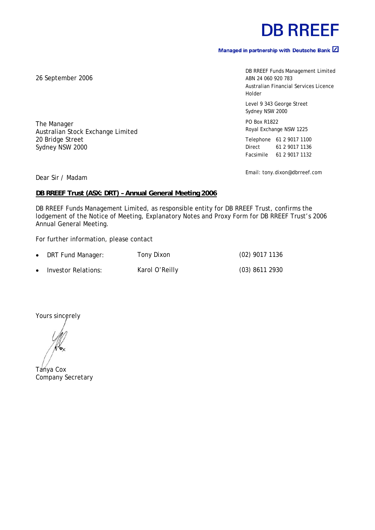# **DB RREEF**

# Managed in partnership with Deutsche Bank  $\boxed{2}$

DB RREEF Funds Management Limited ABN 24 060 920 783 Australian Financial Services Licence Holder

Level 9 343 George Street Sydney NSW 2000

PO Box R1822 Royal Exchange NSW 1225

Telephone 61 2 9017 1100 Direct 61 2 9017 1136 Facsimile 61 2 9017 1132

Email: tony.dixon@dbrreef.com

Dear Sir / Madam

The Manager

20 Bridge Street Sydney NSW 2000

# **DB RREEF Trust (ASX: DRT) – Annual General Meeting 2006**

DB RREEF Funds Management Limited, as responsible entity for DB RREEF Trust, confirms the lodgement of the Notice of Meeting, Explanatory Notes and Proxy Form for DB RREEF Trust's 2006 Annual General Meeting.

For further information, please contact

Australian Stock Exchange Limited

| $\bullet$ | DRT Fund Manager:   | Tony Dixon     | $(02)$ 9017 1136 |
|-----------|---------------------|----------------|------------------|
| $\bullet$ | Investor Relations: | Karol O'Reilly | $(03)$ 8611 2930 |

Yours sincerely

Tanya Cox Company Secretary

26 September 2006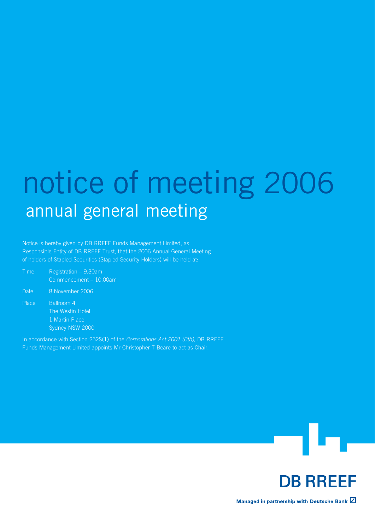# notice of meeting 2006 annual general meeting

Notice is hereby given by DB RREEF Funds Management Limited, as Responsible Entity of DB RREEF Trust, that the 2006 Annual General Meeting of holders of Stapled Securities (Stapled Security Holders) will be held at:

Time Registration – 9.30am Commencement – 10.00am Date 8 November 2006

Place Ballroom 4 The Westin Hotel

> 1 Martin Place Sydney NSW 2000

In accordance with Section 252S(1) of the *Corporations Act 2001 (Cth)*, DB RREEF Funds Management Limited appoints Mr Christopher T Beare to act as Chair.





Managed in partnership with Deutsche Bank Z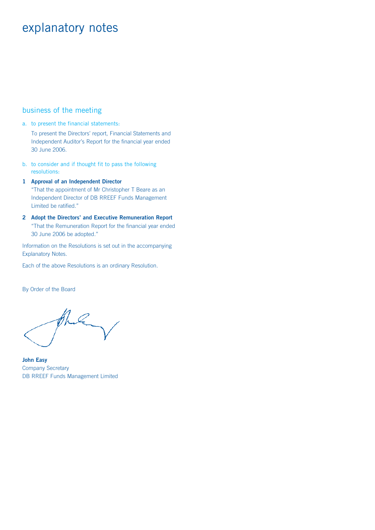# explanatory notes

# business of the meeting

a. to present the financial statements:

 To present the Directors' report, Financial Statements and Independent Auditor's Report for the financial year ended 30 June 2006.

b. to consider and if thought fit to pass the following resolutions:

**1 Approval of an Independent Director**  "That the appointment of Mr Christopher T Beare as an Independent Director of DB RREEF Funds Management Limited be ratified."

**2 Adopt the Directors' and Executive Remuneration Report** "That the Remuneration Report for the financial year ended 30 June 2006 be adopted."

Information on the Resolutions is set out in the accompanying Explanatory Notes.

Each of the above Resolutions is an ordinary Resolution.

By Order of the Board

Q

**John Easy** Company Secretary DB RREEF Funds Management Limited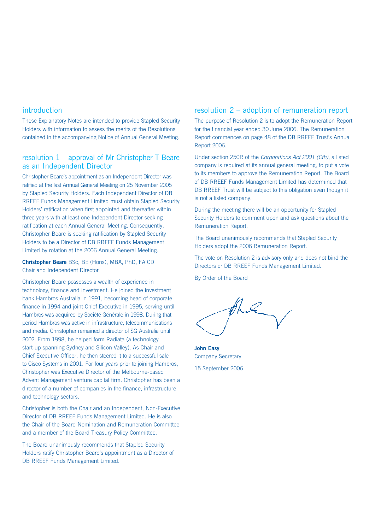# introduction

These Explanatory Notes are intended to provide Stapled Security Holders with information to assess the merits of the Resolutions contained in the accompanying Notice of Annual General Meeting.

# resolution 1 – approval of Mr Christopher T Beare as an Independent Director

Christopher Beare's appointment as an Independent Director was ratified at the last Annual General Meeting on 25 November 2005 by Stapled Security Holders. Each Independent Director of DB RREEF Funds Management Limited must obtain Stapled Security Holders' ratification when first appointed and thereafter within three years with at least one Independent Director seeking ratification at each Annual General Meeting. Consequently, Christopher Beare is seeking ratification by Stapled Security Holders to be a Director of DB RREEF Funds Management Limited by rotation at the 2006 Annual General Meeting.

**Christopher Beare** BSc, BE (Hons), MBA, PhD, FAICD Chair and Independent Director

Christopher Beare possesses a wealth of experience in technology, finance and investment. He joined the investment bank Hambros Australia in 1991, becoming head of corporate finance in 1994 and joint Chief Executive in 1995, serving until Hambros was acquired by Société Générale in 1998. During that period Hambros was active in infrastructure, telecommunications and media. Christopher remained a director of SG Australia until 2002. From 1998, he helped form Radiata (a technology start-up spanning Sydney and Silicon Valley). As Chair and Chief Executive Officer, he then steered it to a successful sale to Cisco Systems in 2001. For four years prior to joining Hambros, Christopher was Executive Director of the Melbourne-based Advent Management venture capital firm. Christopher has been a director of a number of companies in the finance, infrastructure and technology sectors.

Christopher is both the Chair and an Independent, Non-Executive Director of DB RREEF Funds Management Limited. He is also the Chair of the Board Nomination and Remuneration Committee and a member of the Board Treasury Policy Committee.

The Board unanimously recommends that Stapled Security Holders ratify Christopher Beare's appointment as a Director of DB RREEF Funds Management Limited.

# resolution 2 – adoption of remuneration report

The purpose of Resolution 2 is to adopt the Remuneration Report for the financial year ended 30 June 2006. The Remuneration Report commences on page 48 of the DB RREEF Trust's Annual Report 2006.

Under section 250R of the *Corporations Act 2001 (Cth)*, a listed company is required at its annual general meeting, to put a vote to its members to approve the Remuneration Report. The Board of DB RREEF Funds Management Limited has determined that DB RREEF Trust will be subject to this obligation even though it is not a listed company.

During the meeting there will be an opportunity for Stapled Security Holders to comment upon and ask questions about the Remuneration Report.

The Board unanimously recommends that Stapled Security Holders adopt the 2006 Remuneration Report.

The vote on Resolution 2 is advisory only and does not bind the Directors or DB RREEF Funds Management Limited.

By Order of the Board

**John Easy**  Company Secretary 15 September 2006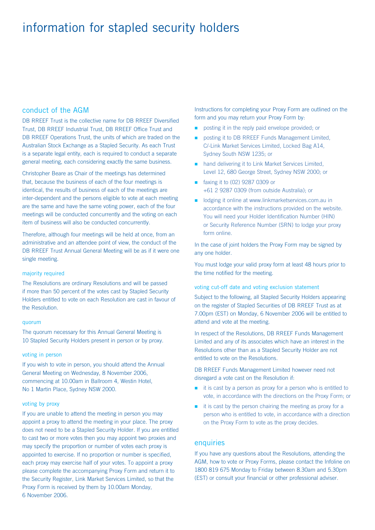# information for stapled security holders

# conduct of the AGM

DB RREEF Trust is the collective name for DB RREEF Diversified Trust, DB RREEF Industrial Trust, DB RREEF Office Trust and DB RREEF Operations Trust, the units of which are traded on the Australian Stock Exchange as a Stapled Security. As each Trust is a separate legal entity, each is required to conduct a separate general meeting, each considering exactly the same business.

Christopher Beare as Chair of the meetings has determined that, because the business of each of the four meetings is identical, the results of business of each of the meetings are inter-dependent and the persons eligible to vote at each meeting are the same and have the same voting power, each of the four meetings will be conducted concurrently and the voting on each item of business will also be conducted concurrently.

Therefore, although four meetings will be held at once, from an administrative and an attendee point of view, the conduct of the DB RREEF Trust Annual General Meeting will be as if it were one single meeting.

#### majority required

The Resolutions are ordinary Resolutions and will be passed if more than 50 percent of the votes cast by Stapled Security Holders entitled to vote on each Resolution are cast in favour of the Resolution.

#### quorum

The quorum necessary for this Annual General Meeting is 10 Stapled Security Holders present in person or by proxy.

#### voting in person

If you wish to vote in person, you should attend the Annual General Meeting on Wednesday, 8 November 2006, commencing at 10.00am in Ballroom 4, Westin Hotel, No 1 Martin Place, Sydney NSW 2000.

#### voting by proxy

If you are unable to attend the meeting in person you may appoint a proxy to attend the meeting in your place. The proxy does not need to be a Stapled Security Holder. If you are entitled to cast two or more votes then you may appoint two proxies and may specify the proportion or number of votes each proxy is appointed to exercise. If no proportion or number is specified, each proxy may exercise half of your votes. To appoint a proxy please complete the accompanying Proxy Form and return it to the Security Register, Link Market Services Limited, so that the Proxy Form is received by them by 10.00am Monday, 6 November 2006.

Instructions for completing your Proxy Form are outlined on the form and you may return your Proxy Form by:

- **posting it in the reply paid envelope provided; or**
- posting it to DB RREEF Funds Management Limited, C/-Link Market Services Limited, Locked Bag A14, Sydney South NSW 1235; or n
- **numband and delivering it to Link Market Services Limited,** Level 12, 680 George Street, Sydney NSW 2000; or
- faxing it to (02) 9287 0309 or +61 2 9287 0309 (from outside Australia); or
- odging it online at www.linkmarketservices.com.au in accordance with the instructions provided on the website. You will need your Holder Identification Number (HIN) or Security Reference Number (SRN) to lodge your proxy form online.

In the case of joint holders the Proxy Form may be signed by any one holder.

You must lodge your valid proxy form at least 48 hours prior to the time notified for the meeting.

#### voting cut-off date and voting exclusion statement

Subject to the following, all Stapled Security Holders appearing on the register of Stapled Securities of DB RREEF Trust as at 7.00pm (EST) on Monday, 6 November 2006 will be entitled to attend and vote at the meeting.

In respect of the Resolutions, DB RREEF Funds Management Limited and any of its associates which have an interest in the Resolutions other than as a Stapled Security Holder are not entitled to vote on the Resolutions.

DB RREEF Funds Management Limited however need not disregard a vote cast on the Resolution if:

- $\blacksquare$  it is cast by a person as proxy for a person who is entitled to vote, in accordance with the directions on the Proxy Form; or
- $\blacksquare$  it is cast by the person chairing the meeting as proxy for a person who is entitled to vote, in accordance with a direction on the Proxy Form to vote as the proxy decides.

#### enquiries

If you have any questions about the Resolutions, attending the AGM, how to vote or Proxy Forms, please contact the Infoline on 1800 819 675 Monday to Friday between 8.30am and 5.30pm (EST) or consult your financial or other professional adviser.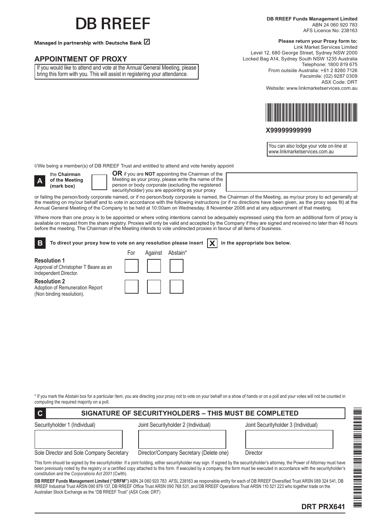# **IR RRFFF**

Managed in partnership with Deutsche Bank  $Z$ 

# **APPOINTMENT OF PROXY**

If you would like to attend and vote at the Annual General Meeting, please bring this form with you. This will assist in registering your attendance.

#### **Please return your Proxy form to:**

Link Market Services Limited Level 12, 680 George Street, Sydney NSW 2000 Locked Bag A14, Sydney South NSW 1235 Australia Telephone: 1800 819 675 From outside Australia: +61 2 8280 7126 Facsimile: (02) 9287 0309 ASX Code: DRT Website: www.linkmarketservices.com.au



## **X99999999999**

You can also lodge your vote on-line at www.linkmarketservices.com.au

I/We being a member(s) of DB RREEF Trust and entitled to attend and vote hereby appoint



**Resolution 1**

the **Chairman of the Meeting (mark box)**

**OR** if you are **NOT** appointing the Chairman of the Meeting as your proxy, please write the name of the person or body corporate (excluding the registered securityholder) you are appointing as your proxy

or failing the person/body corporate named, or if no person/body corporate is named, the Chairman of the Meeting, as my/our proxy to act generally at the meeting on my/our behalf and to vote in accordance with the following instructions (or if no directions have been given, as the proxy sees fit) at the Annual General Meeting of the Company to be held at 10:00am on Wednesday, 8 November 2006 and at any adjournment of that meeting.

Where more than one proxy is to be appointed or where voting intentions cannot be adequately expressed using this form an additional form of proxy is available on request from the share registry. Proxies will only be valid and accepted by the Company if they are signed and received no later than 48 hours before the meeting. The Chairman of the Meeting intends to vote undirected proxies in favour of all items of business.

| $\mathbf{E}$ To direct your proxy how to vote on any resolution please insert $\ \mathbf{X}\ $ in the appropriate box below. |  |
|------------------------------------------------------------------------------------------------------------------------------|--|
|                                                                                                                              |  |

Independent Director. **Resolution 2**

Approval of Christopher T Beare as an

Adoption of Remuneration Report (Non binding resolution).

| For | Against Abstain* |
|-----|------------------|
|     |                  |
|     |                  |

\* If you mark the Abstain box for a particular Item, you are directing your proxy not to vote on your behalf on a show of hands or on a poll and your votes will not be counted in computing the required majority on a poll.

# **C SIGNATURE OF SECURITYHOLDERS – THIS MUST BE COMPLETED**

Securityholder 1 (Individual) Joint Securityholder 2 (Individual) Joint Securityholder 3 (Individual)

Sole Director and Sole Company Secretary Director/Company Secretary (Delete one) Director

This form should be signed by the securityholder. If a joint holding, either securityholder may sign. If signed by the securityholder's attorney, the Power of Attorney must have been previously noted by the registry or a certified copy attached to this form. If executed by a company, the form must be executed in accordance with the securityholder's constitution and the *Corporations Act 2001* (Cwlth).

**DB RREEF Funds Management Limited ("DRFM")** ABN 24 060 920 783 AFSL 238163 as responsible entity for each of DB RREEF Diversified Trust ARSN 089 324 541, DB RREEF Industrial Trust ARSN 090 879 137, DB RREEF Office Trust ARSN 090 768 531, and DB RREEF Operations Trust ARSN 110 521 223 who together trade on the Australian Stock Exchange as the "DB RREEF Trust" (ASX Code: DRT)

te de la partie de la partie de la partie de la partie de la partie de la partie de la partie de la partie de<br>Desenvolvement de la partie de la partie de la partie de la partie de la partie de la partie de la partie de

PRZEZ PRZEZ PRZEZ PRZEZ PRZEZ PRZEZ PRZEZ PRZEZ PRZEZ PRZEZ PRZEZ PRZEZ PRZEZ PRZEZ PRZEZ PRZEZ PRZEZ PRZEZ PR